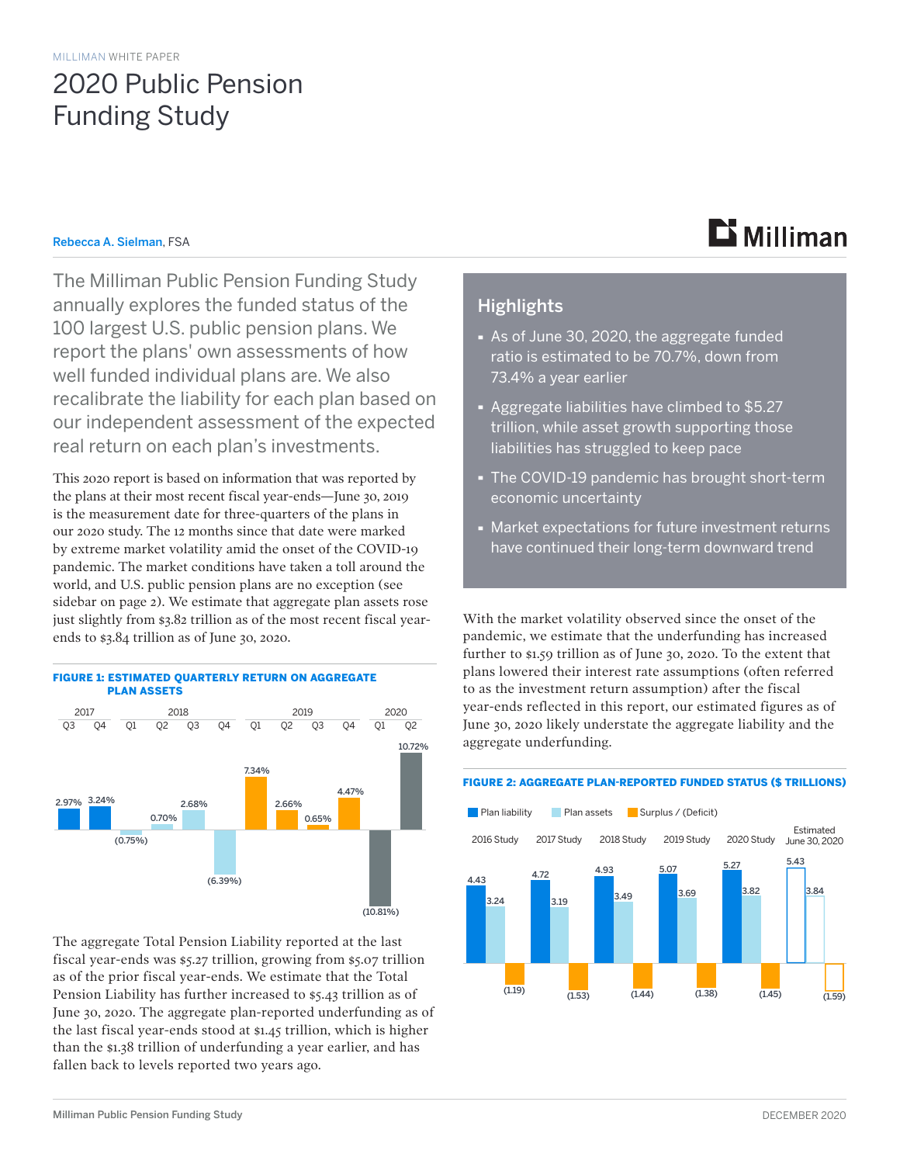## 2020 Public Pension Funding Study

#### Rebecca A. Sielman, FSA

The Milliman Public Pension Funding Study annually explores the funded status of the 100 largest U.S. public pension plans. We report the plans' own assessments of how well funded individual plans are. We also recalibrate the liability for each plan based on our independent assessment of the expected real return on each plan's investments.

This 2020 report is based on information that was reported by the plans at their most recent fiscal year-ends—June 30, 2019 is the measurement date for three-quarters of the plans in our 2020 study. The 12 months since that date were marked by extreme market volatility amid the onset of the COVID-19 pandemic. The market conditions have taken a toll around the world, and U.S. public pension plans are no exception (see sidebar on page 2). We estimate that aggregate plan assets rose just slightly from \$3.82 trillion as of the most recent fiscal yearends to \$3.84 trillion as of June 30, 2020.



The aggregate Total Pension Liability reported at the last fiscal year-ends was \$5.27 trillion, growing from \$5.07 trillion as of the prior fiscal year-ends. We estimate that the Total Pension Liability has further increased to \$5.43 trillion as of June 30, 2020. The aggregate plan-reported underfunding as of the last fiscal year-ends stood at \$1.45 trillion, which is higher than the \$1.38 trillion of underfunding a year earlier, and has fallen back to levels reported two years ago.

# $\mathbf{B}$  Milliman

### **Highlights**

- · As of June 30, 2020, the aggregate funded ratio is estimated to be 70.7%, down from 73.4% a year earlier
- · Aggregate liabilities have climbed to \$5.27 trillion, while asset growth supporting those liabilities has struggled to keep pace
- · The COVID-19 pandemic has brought short-term economic uncertainty
- · Market expectations for future investment returns have continued their long-term downward trend

With the market volatility observed since the onset of the pandemic, we estimate that the underfunding has increased further to \$1.59 trillion as of June 30, 2020. To the extent that plans lowered their interest rate assumptions (often referred to as the investment return assumption) after the fiscal year-ends reflected in this report, our estimated figures as of June 30, 2020 likely understate the aggregate liability and the aggregate underfunding.

#### FIGURE 2: AGGREGATE PLAN-REPORTED FUNDED STATUS (\$ TRILLIONS)

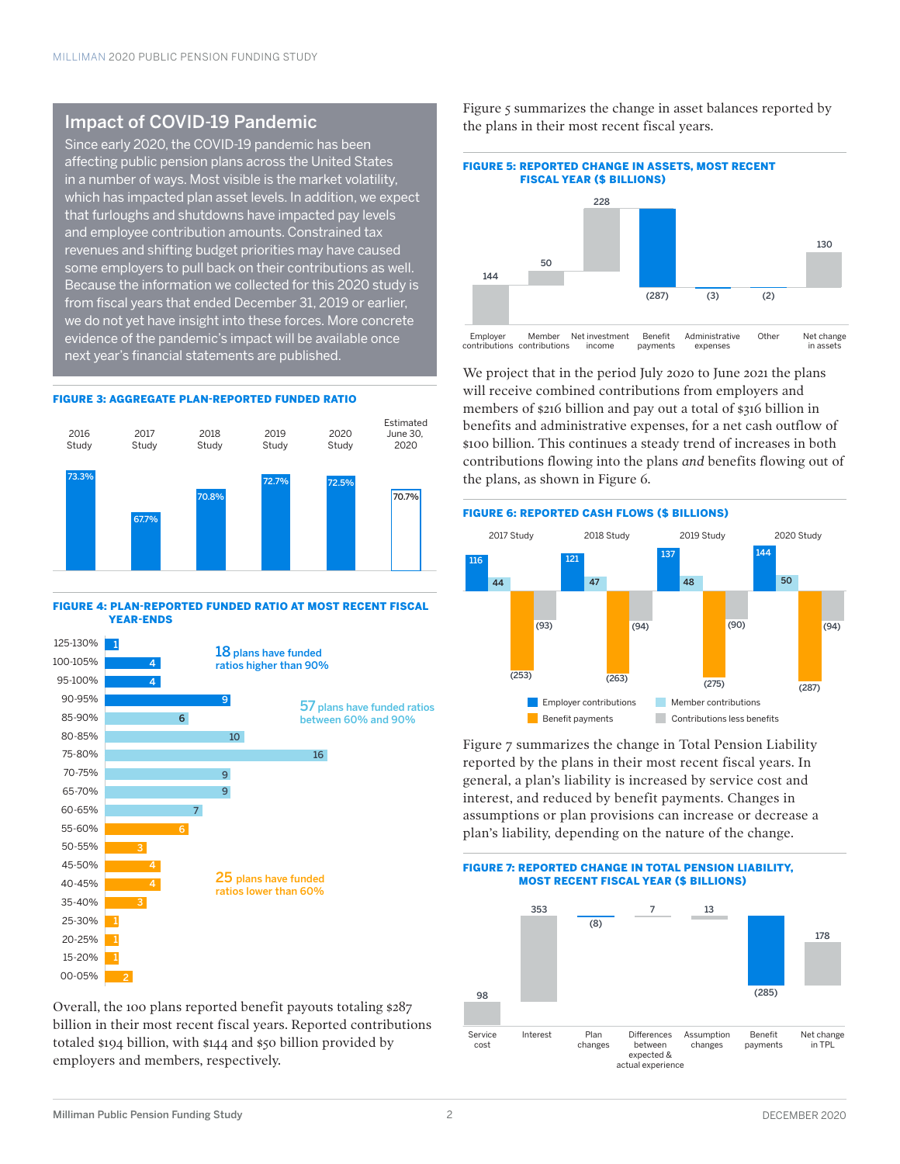### Impact of COVID-19 Pandemic

Since early 2020, the COVID-19 pandemic has been affecting public pension plans across the United States in a number of ways. Most visible is the market volatility, which has impacted plan asset levels. In addition, we expect that furloughs and shutdowns have impacted pay levels and employee contribution amounts. Constrained tax revenues and shifting budget priorities may have caused some employers to pull back on their contributions as well. Because the information we collected for this 2020 study is from fiscal years that ended December 31, 2019 or earlier, we do not yet have insight into these forces. More concrete evidence of the pandemic's impact will be available once next year's financial statements are published.

#### FIGURE 3: AGGREGATE PLAN-REPORTED FUNDED RATIO



#### FIGURE 4: PLAN-REPORTED FUNDED RATIO AT MOST RECENT FISCAL YEAR-ENDS



Overall, the 100 plans reported benefit payouts totaling \$287 billion in their most recent fiscal years. Reported contributions totaled \$194 billion, with \$144 and \$50 billion provided by employers and members, respectively.

Figure 5 summarizes the change in asset balances reported by the plans in their most recent fiscal years.



We project that in the period July 2020 to June 2021 the plans will receive combined contributions from employers and members of \$216 billion and pay out a total of \$316 billion in benefits and administrative expenses, for a net cash outflow of \$100 billion. This continues a steady trend of increases in both contributions flowing into the plans *and* benefits flowing out of the plans, as shown in Figure 6.



Figure 7 summarizes the change in Total Pension Liability reported by the plans in their most recent fiscal years. In general, a plan's liability is increased by service cost and interest, and reduced by benefit payments. Changes in assumptions or plan provisions can increase or decrease a plan's liability, depending on the nature of the change.

FIGURE 7: REPORTED CHANGE IN TOTAL PENSION LIABILITY,

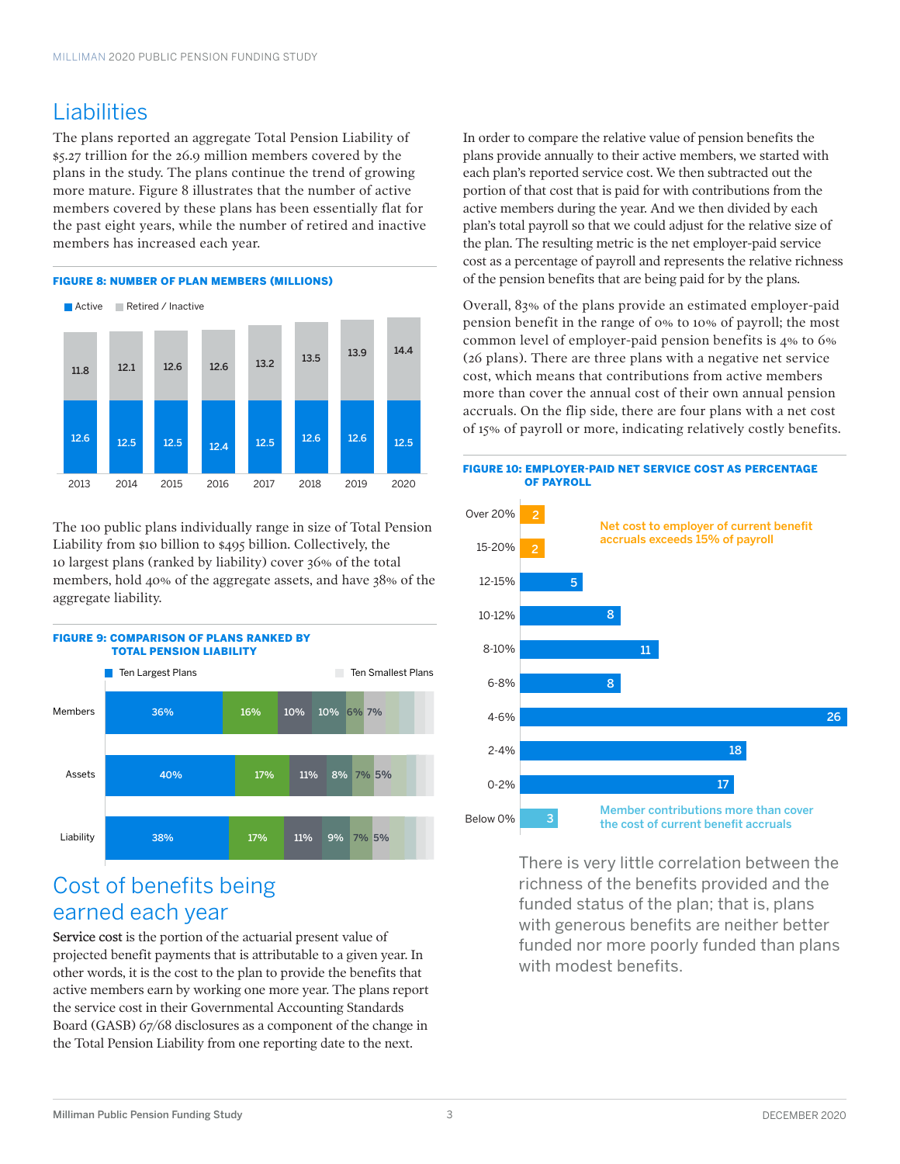## Liabilities

The plans reported an aggregate Total Pension Liability of \$5.27 trillion for the 26.9 million members covered by the plans in the study. The plans continue the trend of growing more mature. Figure 8 illustrates that the number of active members covered by these plans has been essentially flat for the past eight years, while the number of retired and inactive members has increased each year.

#### FIGURE 8: NUMBER OF PLAN MEMBERS (MILLIONS)



The 100 public plans individually range in size of Total Pension Liability from \$10 billion to \$495 billion. Collectively, the 10 largest plans (ranked by liability) cover 36% of the total members, hold 40% of the aggregate assets, and have 38% of the aggregate liability.



### Cost of benefits being earned each year

Service cost is the portion of the actuarial present value of projected benefit payments that is attributable to a given year. In other words, it is the cost to the plan to provide the benefits that active members earn by working one more year. The plans report the service cost in their Governmental Accounting Standards Board (GASB) 67/68 disclosures as a component of the change in the Total Pension Liability from one reporting date to the next.

In order to compare the relative value of pension benefits the plans provide annually to their active members, we started with each plan's reported service cost. We then subtracted out the portion of that cost that is paid for with contributions from the active members during the year. And we then divided by each plan's total payroll so that we could adjust for the relative size of the plan. The resulting metric is the net employer-paid service cost as a percentage of payroll and represents the relative richness of the pension benefits that are being paid for by the plans.

Overall, 83% of the plans provide an estimated employer-paid pension benefit in the range of 0% to 10% of payroll; the most common level of employer-paid pension benefits is 4% to 6% (26 plans). There are three plans with a negative net service cost, which means that contributions from active members more than cover the annual cost of their own annual pension accruals. On the flip side, there are four plans with a net cost of 15% of payroll or more, indicating relatively costly benefits.



There is very little correlation between the richness of the benefits provided and the funded status of the plan; that is, plans with generous benefits are neither better funded nor more poorly funded than plans with modest benefits.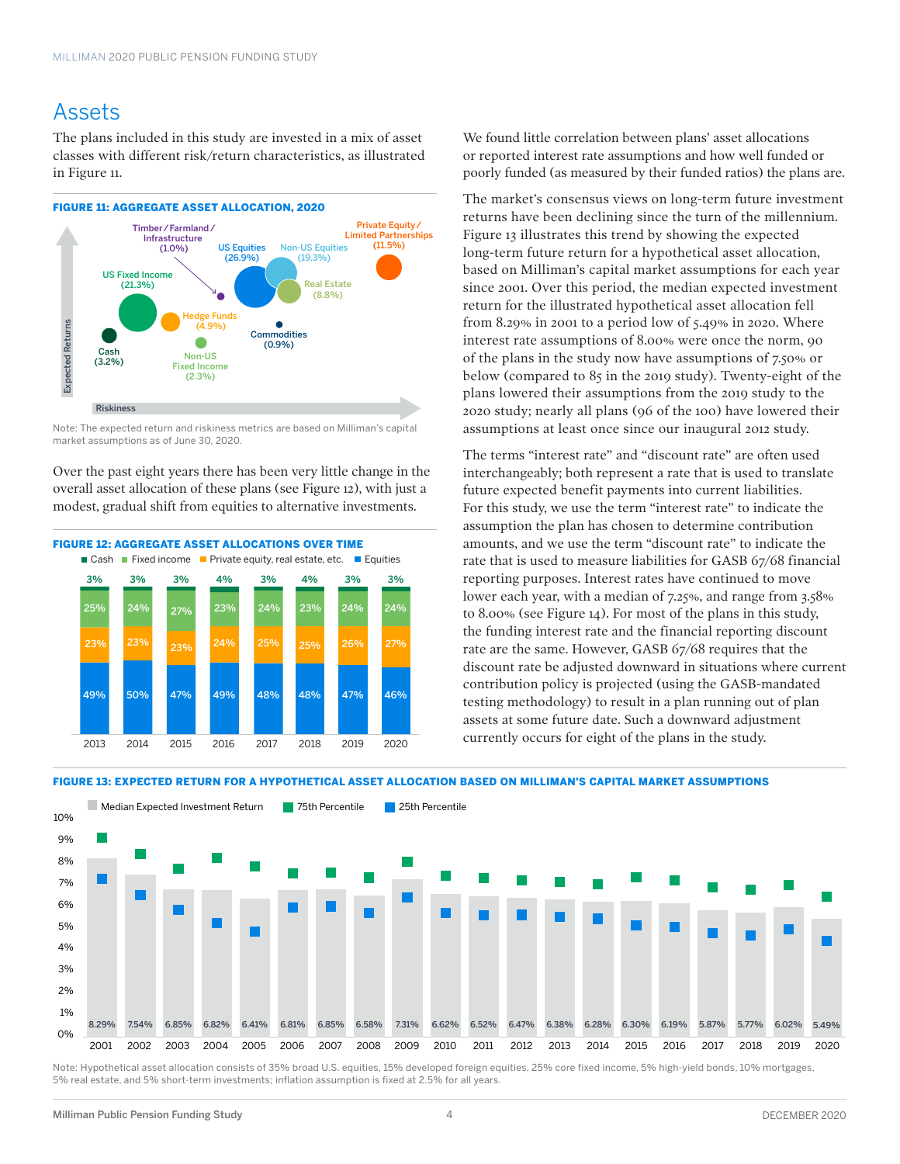### Assets

The plans included in this study are invested in a mix of asset classes with different risk/return characteristics, as illustrated in Figure 11.

#### FIGURE 11: AGGREGATE ASSET ALLOCATION, 2020



Note: The expected return and riskiness metrics are based on Milliman's capital market assumptions as of June 30, 2020.

Over the past eight years there has been very little change in the overall asset allocation of these plans (see Figure 12), with just a modest, gradual shift from equities to alternative investments.



We found little correlation between plans' asset allocations or reported interest rate assumptions and how well funded or poorly funded (as measured by their funded ratios) the plans are.

The market's consensus views on long-term future investment returns have been declining since the turn of the millennium. Figure 13 illustrates this trend by showing the expected long-term future return for a hypothetical asset allocation, based on Milliman's capital market assumptions for each year since 2001. Over this period, the median expected investment return for the illustrated hypothetical asset allocation fell from 8.29% in 2001 to a period low of 5.49% in 2020. Where interest rate assumptions of 8.00% were once the norm, 90 of the plans in the study now have assumptions of 7.50% or below (compared to 85 in the 2019 study). Twenty-eight of the plans lowered their assumptions from the 2019 study to the 2020 study; nearly all plans (96 of the 100) have lowered their assumptions at least once since our inaugural 2012 study.

The terms "interest rate" and "discount rate" are often used interchangeably; both represent a rate that is used to translate future expected benefit payments into current liabilities. For this study, we use the term "interest rate" to indicate the assumption the plan has chosen to determine contribution amounts, and we use the term "discount rate" to indicate the rate that is used to measure liabilities for GASB 67/68 financial reporting purposes. Interest rates have continued to move lower each year, with a median of 7.25%, and range from 3.58% to 8.00% (see Figure 14). For most of the plans in this study, the funding interest rate and the financial reporting discount rate are the same. However, GASB 67/68 requires that the discount rate be adjusted downward in situations where current contribution policy is projected (using the GASB-mandated testing methodology) to result in a plan running out of plan assets at some future date. Such a downward adjustment currently occurs for eight of the plans in the study.



Note: Hypothetical asset allocation consists of 35% broad U.S. equities, 15% developed foreign equities, 25% core fixed income, 5% high-yield bonds, 10% mortgages 5% real estate, and 5% short-term investments; inflation assumption is fixed at 2.5% for all years.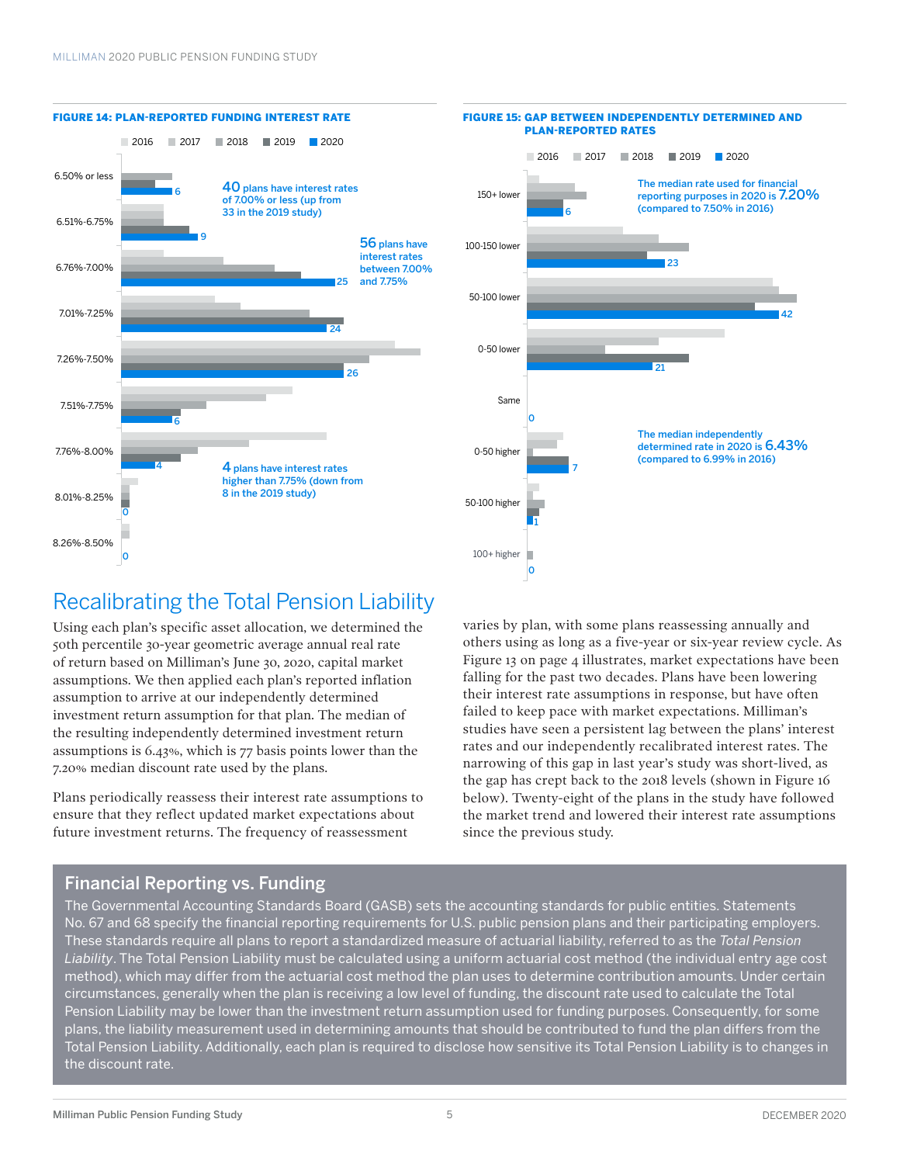

#### FIGURE 15: GAP BETWEEN INDEPENDENTLY DETERMINED AND PLAN-REPORTED RATES



## Recalibrating the Total Pension Liability

Using each plan's specific asset allocation, we determined the 50th percentile 30-year geometric average annual real rate of return based on Milliman's June 30, 2020, capital market assumptions. We then applied each plan's reported inflation assumption to arrive at our independently determined investment return assumption for that plan. The median of the resulting independently determined investment return assumptions is 6.43%, which is 77 basis points lower than the 7.20% median discount rate used by the plans.

Plans periodically reassess their interest rate assumptions to ensure that they reflect updated market expectations about future investment returns. The frequency of reassessment

varies by plan, with some plans reassessing annually and others using as long as a five-year or six-year review cycle. As Figure 13 on page 4 illustrates, market expectations have been falling for the past two decades. Plans have been lowering their interest rate assumptions in response, but have often failed to keep pace with market expectations. Milliman's studies have seen a persistent lag between the plans' interest rates and our independently recalibrated interest rates. The narrowing of this gap in last year's study was short-lived, as the gap has crept back to the 2018 levels (shown in Figure 16 below). Twenty-eight of the plans in the study have followed the market trend and lowered their interest rate assumptions since the previous study.

### Financial Reporting vs. Funding

The Governmental Accounting Standards Board (GASB) sets the accounting standards for public entities. Statements No. 67 and 68 specify the financial reporting requirements for U.S. public pension plans and their participating employers. These standards require all plans to report a standardized measure of actuarial liability, referred to as the *Total Pension Liability*. The Total Pension Liability must be calculated using a uniform actuarial cost method (the individual entry age cost method), which may differ from the actuarial cost method the plan uses to determine contribution amounts. Under certain circumstances, generally when the plan is receiving a low level of funding, the discount rate used to calculate the Total Pension Liability may be lower than the investment return assumption used for funding purposes. Consequently, for some plans, the liability measurement used in determining amounts that should be contributed to fund the plan differs from the Total Pension Liability. Additionally, each plan is required to disclose how sensitive its Total Pension Liability is to changes in the discount rate.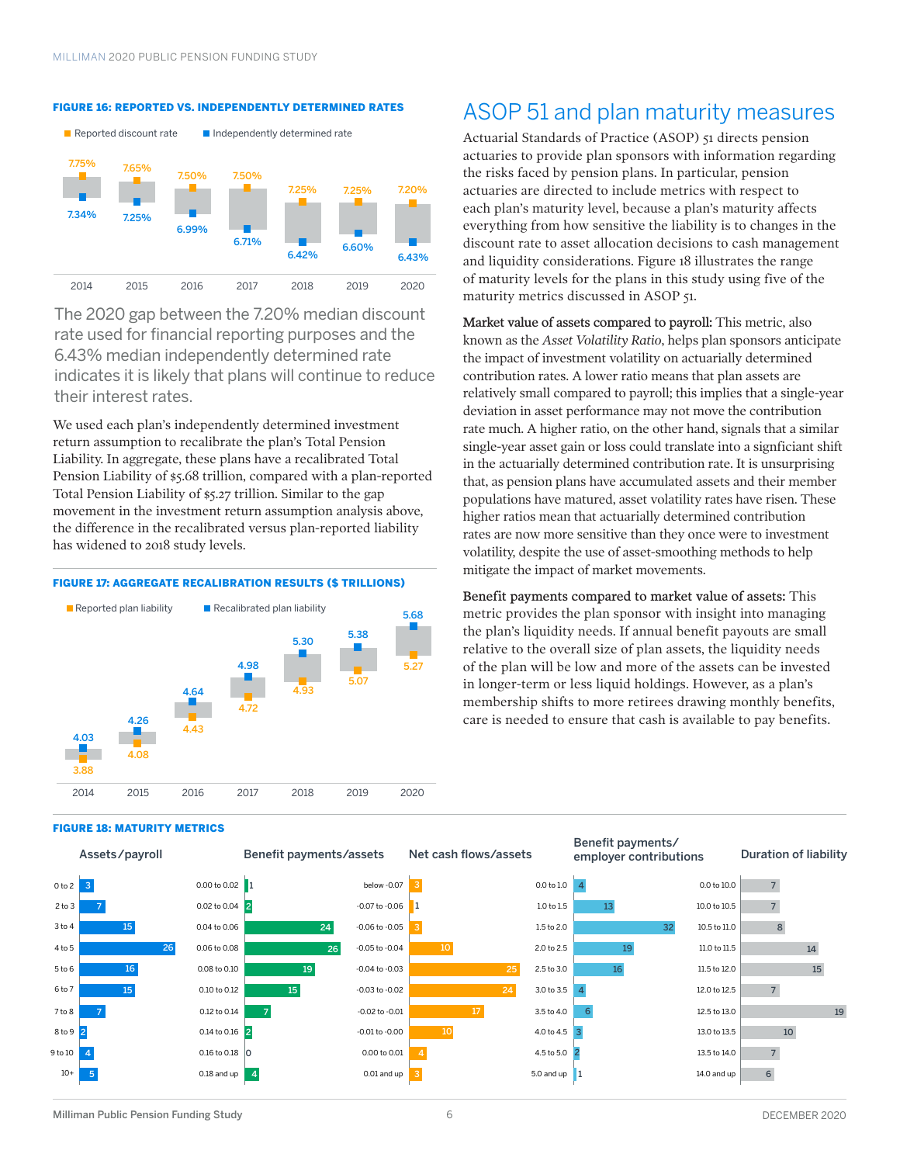#### FIGURE 16: REPORTED VS. INDEPENDENTLY DETERMINED RATES



The 2020 gap between the 7.20% median discount rate used for financial reporting purposes and the 6.43% median independently determined rate indicates it is likely that plans will continue to reduce their interest rates.

We used each plan's independently determined investment return assumption to recalibrate the plan's Total Pension Liability. In aggregate, these plans have a recalibrated Total Pension Liability of \$5.68 trillion, compared with a plan-reported Total Pension Liability of \$5.27 trillion. Similar to the gap movement in the investment return assumption analysis above, the difference in the recalibrated versus plan-reported liability has widened to 2018 study levels.

#### FIGURE 17: AGGREGATE RECALIBRATION RESULTS (\$ TRILLIONS)



#### FIGURE 18: MATURITY METRICS



### ASOP 51 and plan maturity measures

Actuarial Standards of Practice (ASOP) 51 directs pension actuaries to provide plan sponsors with information regarding the risks faced by pension plans. In particular, pension actuaries are directed to include metrics with respect to each plan's maturity level, because a plan's maturity affects everything from how sensitive the liability is to changes in the discount rate to asset allocation decisions to cash management and liquidity considerations. Figure 18 illustrates the range of maturity levels for the plans in this study using five of the maturity metrics discussed in ASOP 51.

Market value of assets compared to payroll: This metric, also known as the *Asset Volatility Ratio*, helps plan sponsors anticipate the impact of investment volatility on actuarially determined contribution rates. A lower ratio means that plan assets are relatively small compared to payroll; this implies that a single-year deviation in asset performance may not move the contribution rate much. A higher ratio, on the other hand, signals that a similar single-year asset gain or loss could translate into a signficiant shift in the actuarially determined contribution rate. It is unsurprising that, as pension plans have accumulated assets and their member populations have matured, asset volatility rates have risen. These higher ratios mean that actuarially determined contribution rates are now more sensitive than they once were to investment volatility, despite the use of asset-smoothing methods to help mitigate the impact of market movements.

Benefit payments compared to market value of assets: This metric provides the plan sponsor with insight into managing the plan's liquidity needs. If annual benefit payouts are small relative to the overall size of plan assets, the liquidity needs of the plan will be low and more of the assets can be invested in longer-term or less liquid holdings. However, as a plan's membership shifts to more retirees drawing monthly benefits, care is needed to ensure that cash is available to pay benefits.

Benefit payments/



10

17

1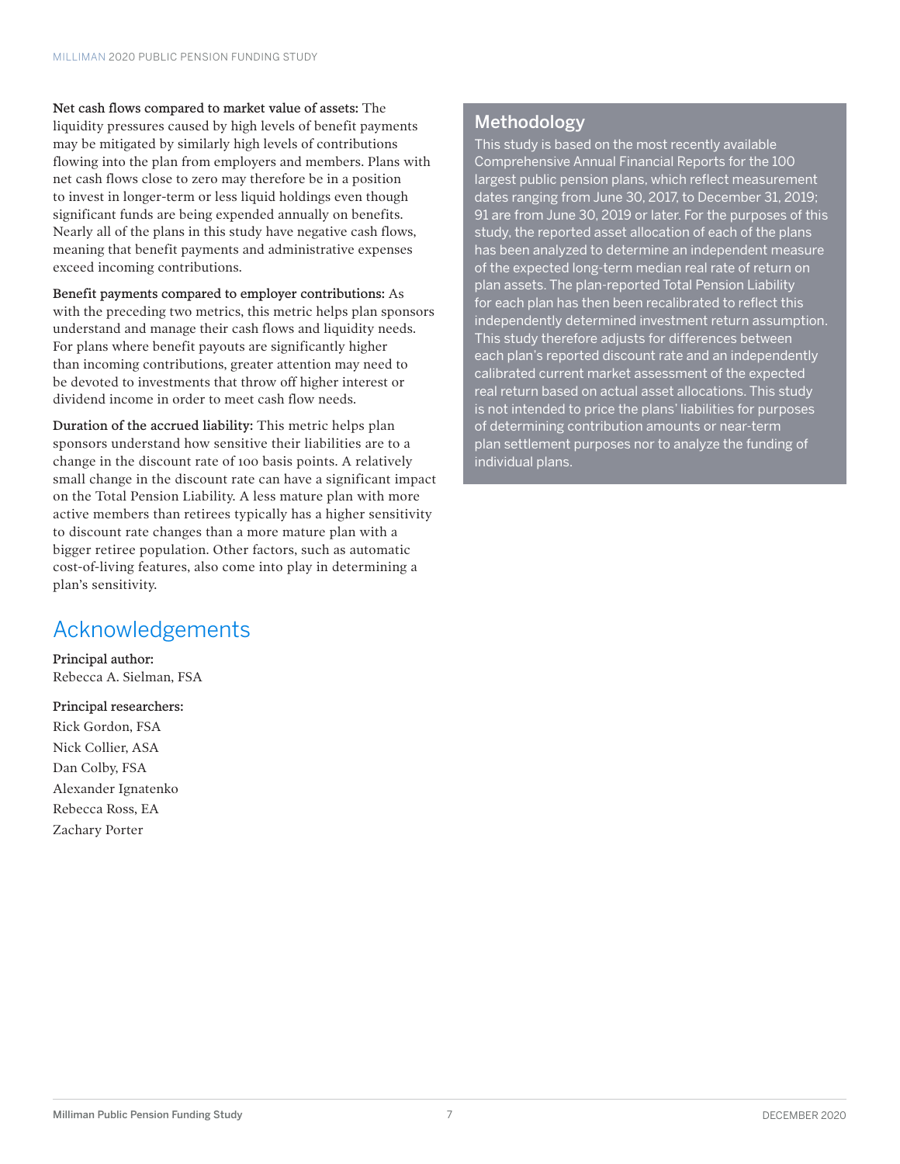Net cash flows compared to market value of assets: The liquidity pressures caused by high levels of benefit payments may be mitigated by similarly high levels of contributions flowing into the plan from employers and members. Plans with net cash flows close to zero may therefore be in a position to invest in longer-term or less liquid holdings even though significant funds are being expended annually on benefits. Nearly all of the plans in this study have negative cash flows, meaning that benefit payments and administrative expenses exceed incoming contributions.

Benefit payments compared to employer contributions: As with the preceding two metrics, this metric helps plan sponsors understand and manage their cash flows and liquidity needs. For plans where benefit payouts are significantly higher than incoming contributions, greater attention may need to be devoted to investments that throw off higher interest or dividend income in order to meet cash flow needs.

Duration of the accrued liability: This metric helps plan sponsors understand how sensitive their liabilities are to a change in the discount rate of 100 basis points. A relatively small change in the discount rate can have a significant impact on the Total Pension Liability. A less mature plan with more active members than retirees typically has a higher sensitivity to discount rate changes than a more mature plan with a bigger retiree population. Other factors, such as automatic cost-of-living features, also come into play in determining a plan's sensitivity.

## Acknowledgements

Principal author: Rebecca A. Sielman, FSA

#### Principal researchers:

Rick Gordon, FSA Nick Collier, ASA Dan Colby, FSA Alexander Ignatenko Rebecca Ross, EA Zachary Porter

### Methodology

This study is based on the most recently available Comprehensive Annual Financial Reports for the 100 largest public pension plans, which reflect measurement dates ranging from June 30, 2017, to December 31, 2019; 91 are from June 30, 2019 or later. For the purposes of this study, the reported asset allocation of each of the plans has been analyzed to determine an independent measure of the expected long-term median real rate of return on plan assets. The plan-reported Total Pension Liability for each plan has then been recalibrated to reflect this independently determined investment return assumption. This study therefore adjusts for differences between each plan's reported discount rate and an independently calibrated current market assessment of the expected real return based on actual asset allocations. This study is not intended to price the plans' liabilities for purposes of determining contribution amounts or near-term plan settlement purposes nor to analyze the funding of individual plans.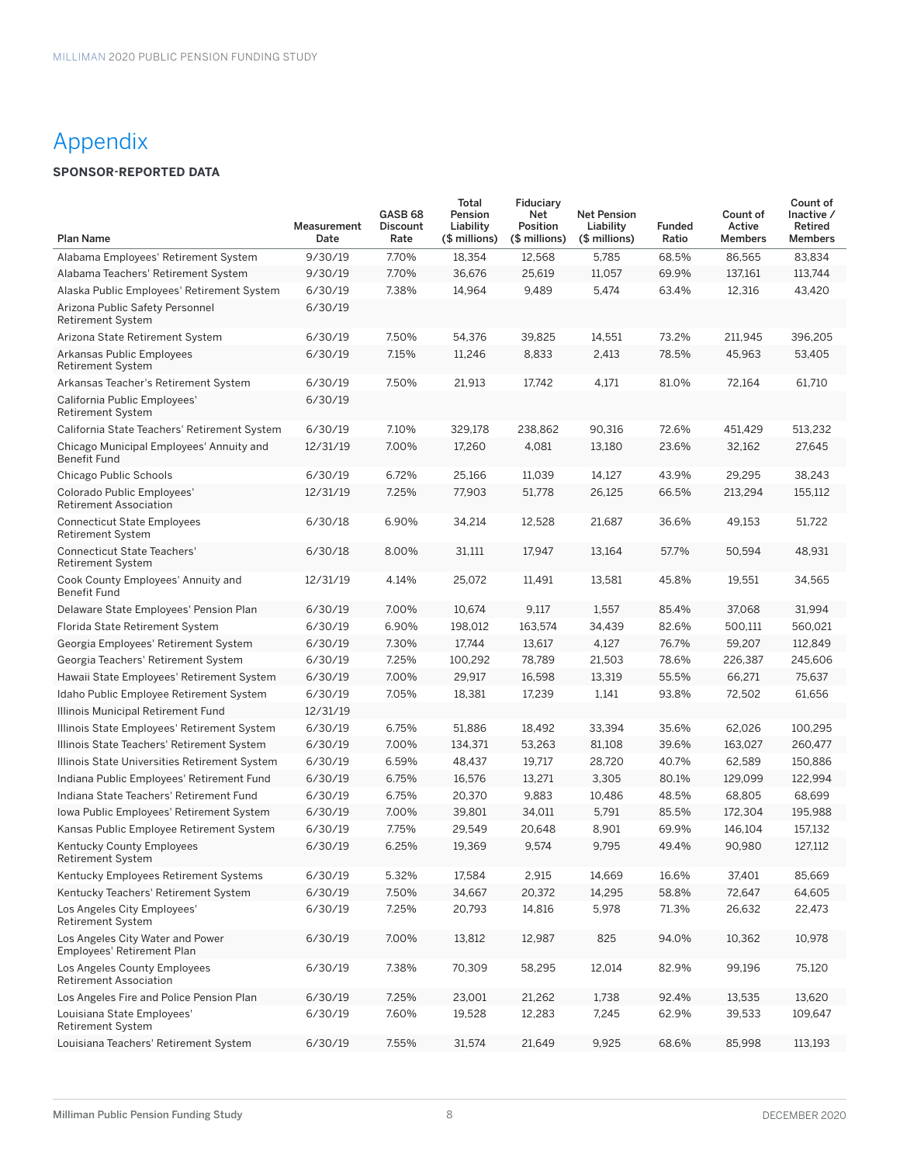## Appendix

### **SPONSOR-REPORTED DATA**

|                                                                | Measurement | GASB <sub>68</sub><br><b>Discount</b> | Total<br>Pension<br>Liability | Fiduciary<br>Net<br>Position | <b>Net Pension</b><br>Liability | <b>Funded</b> | Count of<br>Active | Count of<br>Inactive /<br>Retired |
|----------------------------------------------------------------|-------------|---------------------------------------|-------------------------------|------------------------------|---------------------------------|---------------|--------------------|-----------------------------------|
| <b>Plan Name</b>                                               | Date        | Rate                                  | (\$ millions)                 | (\$ millions)                | (\$ millions)                   | Ratio         | <b>Members</b>     | <b>Members</b>                    |
| Alabama Employees' Retirement System                           | 9/30/19     | 7.70%                                 | 18,354                        | 12,568                       | 5,785                           | 68.5%         | 86,565             | 83,834                            |
| Alabama Teachers' Retirement System                            | 9/30/19     | 7.70%                                 | 36,676                        | 25,619                       | 11,057                          | 69.9%         | 137,161            | 113,744                           |
| Alaska Public Employees' Retirement System                     | 6/30/19     | 7.38%                                 | 14,964                        | 9,489                        | 5,474                           | 63.4%         | 12,316             | 43,420                            |
| Arizona Public Safety Personnel<br><b>Retirement System</b>    | 6/30/19     |                                       |                               |                              |                                 |               |                    |                                   |
| Arizona State Retirement System                                | 6/30/19     | 7.50%                                 | 54,376                        | 39,825                       | 14,551                          | 73.2%         | 211,945            | 396,205                           |
| <b>Arkansas Public Employees</b><br><b>Retirement System</b>   | 6/30/19     | 7.15%                                 | 11,246                        | 8,833                        | 2,413                           | 78.5%         | 45,963             | 53,405                            |
| Arkansas Teacher's Retirement System                           | 6/30/19     | 7.50%                                 | 21,913                        | 17,742                       | 4,171                           | 81.0%         | 72,164             | 61,710                            |
| California Public Employees'<br><b>Retirement System</b>       | 6/30/19     |                                       |                               |                              |                                 |               |                    |                                   |
| California State Teachers' Retirement System                   | 6/30/19     | 7.10%                                 | 329,178                       | 238,862                      | 90,316                          | 72.6%         | 451,429            | 513,232                           |
| Chicago Municipal Employees' Annuity and<br>Benefit Fund       | 12/31/19    | 7.00%                                 | 17,260                        | 4,081                        | 13,180                          | 23.6%         | 32,162             | 27,645                            |
| Chicago Public Schools                                         | 6/30/19     | 6.72%                                 | 25,166                        | 11,039                       | 14,127                          | 43.9%         | 29,295             | 38,243                            |
| Colorado Public Employees'<br><b>Retirement Association</b>    | 12/31/19    | 7.25%                                 | 77,903                        | 51,778                       | 26,125                          | 66.5%         | 213,294            | 155,112                           |
| <b>Connecticut State Employees</b><br><b>Retirement System</b> | 6/30/18     | 6.90%                                 | 34,214                        | 12,528                       | 21,687                          | 36.6%         | 49,153             | 51,722                            |
| <b>Connecticut State Teachers'</b><br><b>Retirement System</b> | 6/30/18     | 8.00%                                 | 31,111                        | 17,947                       | 13,164                          | 57.7%         | 50,594             | 48,931                            |
| Cook County Employees' Annuity and<br>Benefit Fund             | 12/31/19    | 4.14%                                 | 25,072                        | 11,491                       | 13,581                          | 45.8%         | 19,551             | 34,565                            |
| Delaware State Employees' Pension Plan                         | 6/30/19     | 7.00%                                 | 10,674                        | 9,117                        | 1,557                           | 85.4%         | 37,068             | 31,994                            |
| Florida State Retirement System                                | 6/30/19     | 6.90%                                 | 198,012                       | 163,574                      | 34,439                          | 82.6%         | 500,111            | 560,021                           |
| Georgia Employees' Retirement System                           | 6/30/19     | 7.30%                                 | 17,744                        | 13,617                       | 4,127                           | 76.7%         | 59,207             | 112,849                           |
| Georgia Teachers' Retirement System                            | 6/30/19     | 7.25%                                 | 100,292                       | 78,789                       | 21,503                          | 78.6%         | 226,387            | 245,606                           |
| Hawaii State Employees' Retirement System                      | 6/30/19     | 7.00%                                 | 29,917                        | 16,598                       | 13,319                          | 55.5%         | 66,271             | 75,637                            |
| Idaho Public Employee Retirement System                        | 6/30/19     | 7.05%                                 | 18,381                        | 17,239                       | 1,141                           | 93.8%         | 72,502             | 61,656                            |
| Illinois Municipal Retirement Fund                             | 12/31/19    |                                       |                               |                              |                                 |               |                    |                                   |
| Illinois State Employees' Retirement System                    | 6/30/19     | 6.75%                                 | 51,886                        | 18,492                       | 33,394                          | 35.6%         | 62,026             | 100,295                           |
| Illinois State Teachers' Retirement System                     | 6/30/19     | 7.00%                                 | 134,371                       | 53,263                       | 81,108                          | 39.6%         | 163,027            | 260,477                           |
| Illinois State Universities Retirement System                  | 6/30/19     | 6.59%                                 | 48,437                        | 19,717                       | 28,720                          | 40.7%         | 62,589             | 150,886                           |
| Indiana Public Employees' Retirement Fund                      | 6/30/19     | 6.75%                                 | 16,576                        | 13,271                       | 3,305                           | 80.1%         | 129,099            | 122,994                           |
| Indiana State Teachers' Retirement Fund                        | 6/30/19     | 6.75%                                 | 20,370                        | 9,883                        | 10,486                          | 48.5%         | 68,805             | 68,699                            |
| Iowa Public Employees' Retirement System                       | 6/30/19     | 7.00%                                 | 39,801                        | 34,011                       | 5,791                           | 85.5%         | 172,304            | 195,988                           |
| Kansas Public Employee Retirement System                       | 6/30/19     | 7.75%                                 | 29,549                        | 20,648                       | 8,901                           | 69.9%         | 146,104            | 157,132                           |
| Kentucky County Employees<br>Retirement System                 | 6/30/19     | 6.25%                                 | 19,369                        | 9,574                        | 9,795                           | 49.4%         | 90,980             | 127,112                           |
| Kentucky Employees Retirement Systems                          | 6/30/19     | 5.32%                                 | 17,584                        | 2,915                        | 14,669                          | 16.6%         | 37,401             | 85,669                            |
| Kentucky Teachers' Retirement System                           | 6/30/19     | 7.50%                                 | 34,667                        | 20,372                       | 14,295                          | 58.8%         | 72,647             | 64,605                            |
| Los Angeles City Employees'<br><b>Retirement System</b>        | 6/30/19     | 7.25%                                 | 20,793                        | 14,816                       | 5,978                           | 71.3%         | 26,632             | 22,473                            |
| Los Angeles City Water and Power<br>Employees' Retirement Plan | 6/30/19     | 7.00%                                 | 13,812                        | 12,987                       | 825                             | 94.0%         | 10,362             | 10,978                            |
| Los Angeles County Employees<br><b>Retirement Association</b>  | 6/30/19     | 7.38%                                 | 70,309                        | 58,295                       | 12,014                          | 82.9%         | 99,196             | 75,120                            |
| Los Angeles Fire and Police Pension Plan                       | 6/30/19     | 7.25%                                 | 23,001                        | 21,262                       | 1,738                           | 92.4%         | 13,535             | 13,620                            |
| Louisiana State Employees'<br><b>Retirement System</b>         | 6/30/19     | 7.60%                                 | 19,528                        | 12,283                       | 7,245                           | 62.9%         | 39,533             | 109,647                           |
| Louisiana Teachers' Retirement System                          | 6/30/19     | 7.55%                                 | 31,574                        | 21,649                       | 9,925                           | 68.6%         | 85,998             | 113,193                           |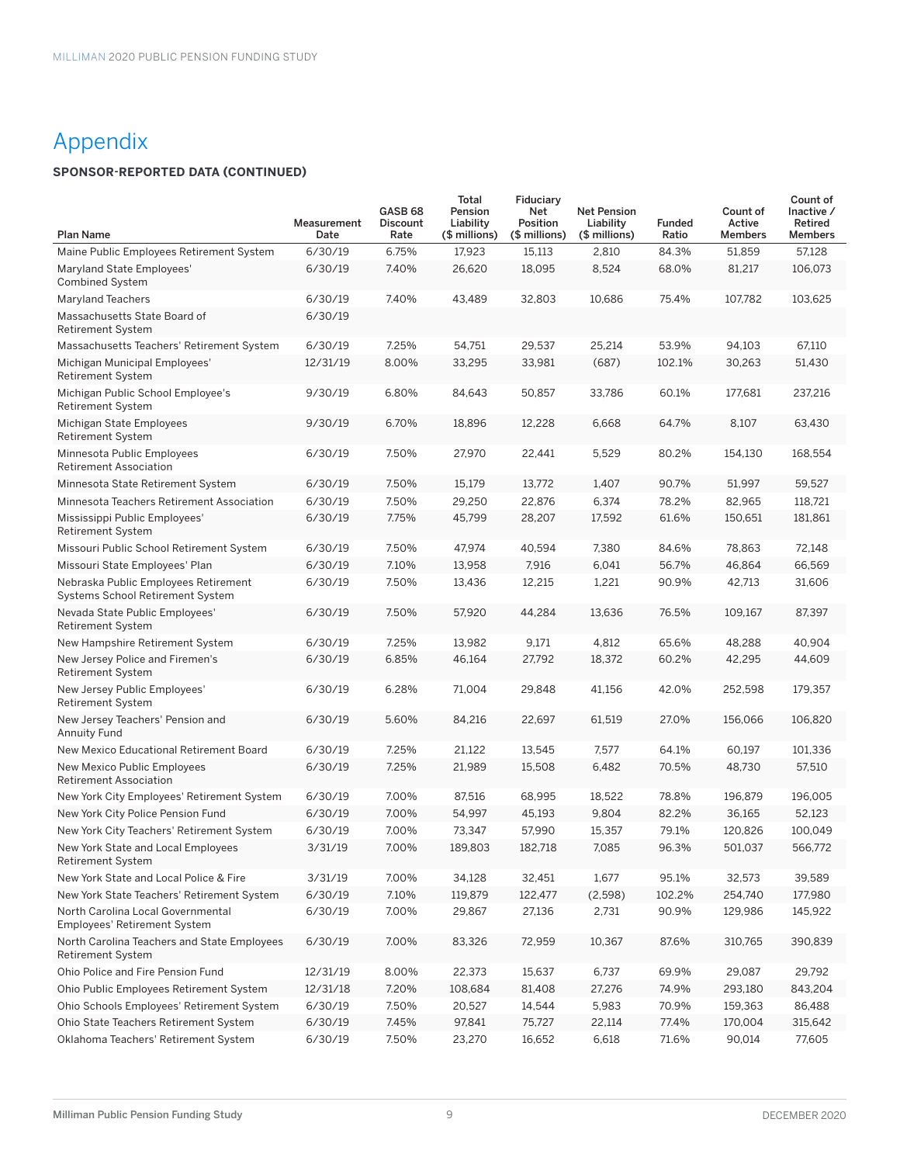## Appendix

### **SPONSOR-REPORTED DATA (CONTINUED)**

| <b>Plan Name</b>                                                         | Measurement<br>Date | GASB <sub>68</sub><br><b>Discount</b><br>Rate | Total<br>Pension<br>Liability<br>(\$ millions) | Fiduciary<br>Net<br>Position<br>(\$ millions) | <b>Net Pension</b><br>Liability<br>(\$ millions) | <b>Funded</b><br>Ratio | Count of<br>Active<br><b>Members</b> | Count of<br>Inactive /<br>Retired<br><b>Members</b> |
|--------------------------------------------------------------------------|---------------------|-----------------------------------------------|------------------------------------------------|-----------------------------------------------|--------------------------------------------------|------------------------|--------------------------------------|-----------------------------------------------------|
| Maine Public Employees Retirement System                                 | 6/30/19             | 6.75%                                         | 17,923                                         | 15,113                                        | 2,810                                            | 84.3%                  | 51,859                               | 57,128                                              |
| Maryland State Employees'<br><b>Combined System</b>                      | 6/30/19             | 7.40%                                         | 26,620                                         | 18,095                                        | 8,524                                            | 68.0%                  | 81,217                               | 106,073                                             |
| <b>Maryland Teachers</b>                                                 | 6/30/19             | 7.40%                                         | 43,489                                         | 32,803                                        | 10,686                                           | 75.4%                  | 107,782                              | 103,625                                             |
| Massachusetts State Board of<br><b>Retirement System</b>                 | 6/30/19             |                                               |                                                |                                               |                                                  |                        |                                      |                                                     |
| Massachusetts Teachers' Retirement System                                | 6/30/19             | 7.25%                                         | 54,751                                         | 29,537                                        | 25,214                                           | 53.9%                  | 94,103                               | 67,110                                              |
| Michigan Municipal Employees'<br><b>Retirement System</b>                | 12/31/19            | 8.00%                                         | 33,295                                         | 33,981                                        | (687)                                            | 102.1%                 | 30,263                               | 51,430                                              |
| Michigan Public School Employee's<br><b>Retirement System</b>            | 9/30/19             | 6.80%                                         | 84,643                                         | 50,857                                        | 33,786                                           | 60.1%                  | 177,681                              | 237,216                                             |
| Michigan State Employees<br><b>Retirement System</b>                     | 9/30/19             | 6.70%                                         | 18,896                                         | 12,228                                        | 6,668                                            | 64.7%                  | 8,107                                | 63,430                                              |
| Minnesota Public Employees<br>Retirement Association                     | 6/30/19             | 7.50%                                         | 27,970                                         | 22,441                                        | 5,529                                            | 80.2%                  | 154,130                              | 168,554                                             |
| Minnesota State Retirement System                                        | 6/30/19             | 7.50%                                         | 15,179                                         | 13.772                                        | 1,407                                            | 90.7%                  | 51,997                               | 59,527                                              |
| Minnesota Teachers Retirement Association                                | 6/30/19             | 7.50%                                         | 29,250                                         | 22,876                                        | 6,374                                            | 78.2%                  | 82,965                               | 118,721                                             |
| Mississippi Public Employees'<br><b>Retirement System</b>                | 6/30/19             | 7.75%                                         | 45,799                                         | 28,207                                        | 17,592                                           | 61.6%                  | 150,651                              | 181.861                                             |
| Missouri Public School Retirement System                                 | 6/30/19             | 7.50%                                         | 47,974                                         | 40,594                                        | 7,380                                            | 84.6%                  | 78,863                               | 72,148                                              |
| Missouri State Employees' Plan                                           | 6/30/19             | 7.10%                                         | 13,958                                         | 7,916                                         | 6,041                                            | 56.7%                  | 46,864                               | 66,569                                              |
| Nebraska Public Employees Retirement<br>Systems School Retirement System | 6/30/19             | 7.50%                                         | 13,436                                         | 12,215                                        | 1,221                                            | 90.9%                  | 42,713                               | 31,606                                              |
| Nevada State Public Employees'<br><b>Retirement System</b>               | 6/30/19             | 7.50%                                         | 57,920                                         | 44,284                                        | 13,636                                           | 76.5%                  | 109,167                              | 87,397                                              |
| New Hampshire Retirement System                                          | 6/30/19             | 7.25%                                         | 13,982                                         | 9,171                                         | 4,812                                            | 65.6%                  | 48,288                               | 40,904                                              |
| New Jersey Police and Firemen's<br><b>Retirement System</b>              | 6/30/19             | 6.85%                                         | 46,164                                         | 27,792                                        | 18,372                                           | 60.2%                  | 42,295                               | 44,609                                              |
| New Jersey Public Employees'<br><b>Retirement System</b>                 | 6/30/19             | 6.28%                                         | 71,004                                         | 29,848                                        | 41,156                                           | 42.0%                  | 252,598                              | 179,357                                             |
| New Jersey Teachers' Pension and<br><b>Annuity Fund</b>                  | 6/30/19             | 5.60%                                         | 84,216                                         | 22,697                                        | 61,519                                           | 27.0%                  | 156,066                              | 106,820                                             |
| New Mexico Educational Retirement Board                                  | 6/30/19             | 7.25%                                         | 21,122                                         | 13,545                                        | 7,577                                            | 64.1%                  | 60,197                               | 101,336                                             |
| New Mexico Public Employees<br><b>Retirement Association</b>             | 6/30/19             | 7.25%                                         | 21,989                                         | 15,508                                        | 6,482                                            | 70.5%                  | 48,730                               | 57,510                                              |
| New York City Employees' Retirement System                               | 6/30/19             | 7.00%                                         | 87,516                                         | 68,995                                        | 18,522                                           | 78.8%                  | 196,879                              | 196,005                                             |
| New York City Police Pension Fund                                        | 6/30/19             | 7.00%                                         | 54,997                                         | 45,193                                        | 9,804                                            | 82.2%                  | 36,165                               | 52,123                                              |
| New York City Teachers' Retirement System                                | 6/30/19             | 7.00%                                         | 73,347                                         | 57,990                                        | 15,357                                           | 79.1%                  | 120,826                              | 100,049                                             |
| New York State and Local Employees<br>Retirement System                  | 3/31/19             | 7.00%                                         | 189,803                                        | 182,718                                       | 7,085                                            | 96.3%                  | 501,037                              | 566,772                                             |
| New York State and Local Police & Fire                                   | 3/31/19             | 7.00%                                         | 34,128                                         | 32,451                                        | 1,677                                            | 95.1%                  | 32,573                               | 39,589                                              |
| New York State Teachers' Retirement System                               | 6/30/19             | 7.10%                                         | 119,879                                        | 122,477                                       | (2,598)                                          | 102.2%                 | 254,740                              | 177,980                                             |
| North Carolina Local Governmental<br><b>Employees' Retirement System</b> | 6/30/19             | 7.00%                                         | 29,867                                         | 27,136                                        | 2,731                                            | 90.9%                  | 129,986                              | 145,922                                             |
| North Carolina Teachers and State Employees<br><b>Retirement System</b>  | 6/30/19             | 7.00%                                         | 83,326                                         | 72,959                                        | 10,367                                           | 87.6%                  | 310,765                              | 390,839                                             |
| Ohio Police and Fire Pension Fund                                        | 12/31/19            | 8.00%                                         | 22,373                                         | 15,637                                        | 6,737                                            | 69.9%                  | 29,087                               | 29,792                                              |
| Ohio Public Employees Retirement System                                  | 12/31/18            | 7.20%                                         | 108,684                                        | 81,408                                        | 27,276                                           | 74.9%                  | 293,180                              | 843,204                                             |
| Ohio Schools Employees' Retirement System                                | 6/30/19             | 7.50%                                         | 20,527                                         | 14,544                                        | 5,983                                            | 70.9%                  | 159,363                              | 86,488                                              |
| Ohio State Teachers Retirement System                                    | 6/30/19             | 7.45%                                         | 97,841                                         | 75,727                                        | 22,114                                           | 77.4%                  | 170,004                              | 315,642                                             |
| Oklahoma Teachers' Retirement System                                     | 6/30/19             | 7.50%                                         | 23,270                                         | 16,652                                        | 6,618                                            | 71.6%                  | 90,014                               | 77,605                                              |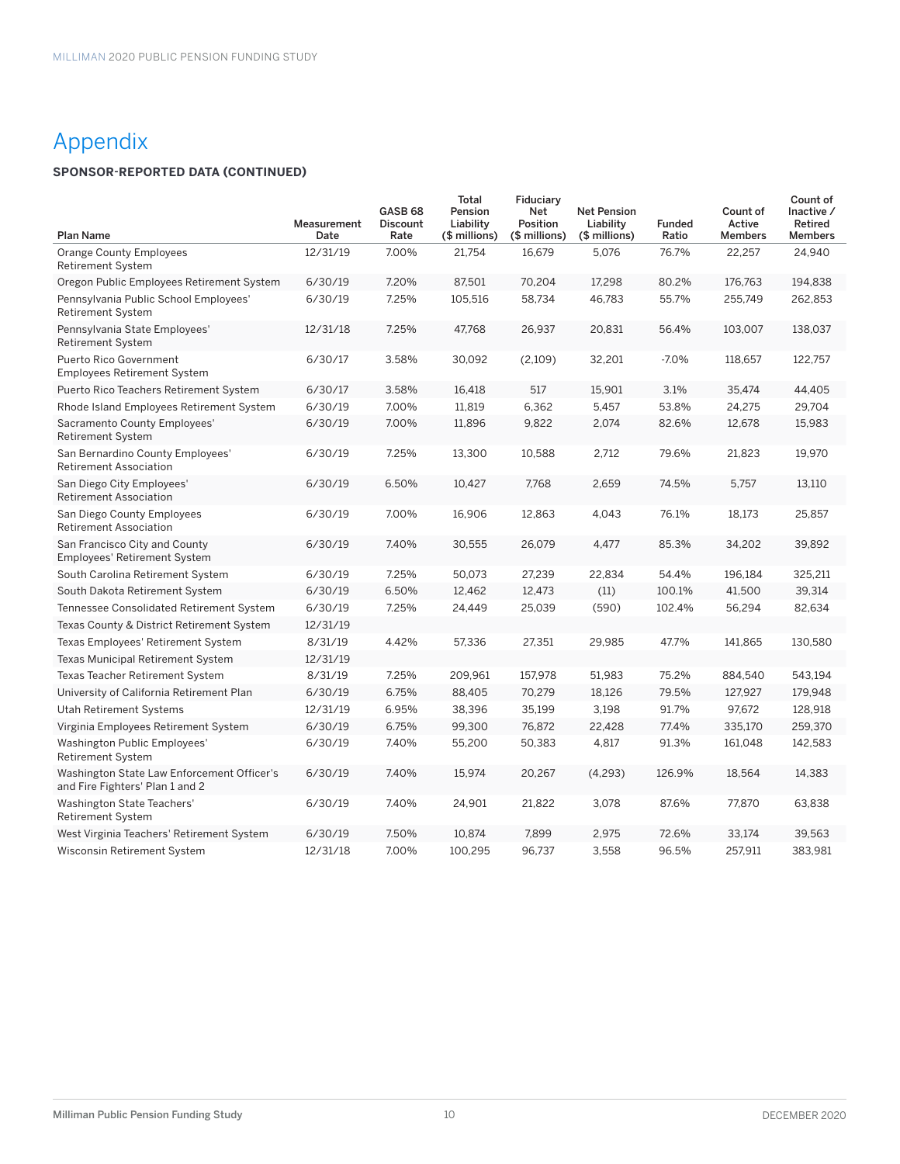## Appendix

### **SPONSOR-REPORTED DATA (CONTINUED)**

| <b>Plan Name</b>                                                              | Measurement<br>Date | GASB <sub>68</sub><br>Discount<br>Rate | Total<br>Pension<br>Liability<br>(\$ millions) | Fiduciary<br>Net<br>Position<br>(\$ millions) | <b>Net Pension</b><br>Liability<br>(\$ millions) | <b>Funded</b><br>Ratio | Count of<br>Active<br><b>Members</b> | Count of<br>Inactive /<br>Retired<br><b>Members</b> |
|-------------------------------------------------------------------------------|---------------------|----------------------------------------|------------------------------------------------|-----------------------------------------------|--------------------------------------------------|------------------------|--------------------------------------|-----------------------------------------------------|
|                                                                               |                     |                                        |                                                |                                               |                                                  |                        |                                      |                                                     |
| <b>Orange County Employees</b><br><b>Retirement System</b>                    | 12/31/19            | 7.00%                                  | 21,754                                         | 16,679                                        | 5.076                                            | 76.7%                  | 22,257                               | 24.940                                              |
| Oregon Public Employees Retirement System                                     | 6/30/19             | 7.20%                                  | 87,501                                         | 70,204                                        | 17,298                                           | 80.2%                  | 176,763                              | 194,838                                             |
| Pennsylvania Public School Employees'<br><b>Retirement System</b>             | 6/30/19             | 7.25%                                  | 105,516                                        | 58,734                                        | 46,783                                           | 55.7%                  | 255,749                              | 262,853                                             |
| Pennsylvania State Employees'<br><b>Retirement System</b>                     | 12/31/18            | 7.25%                                  | 47,768                                         | 26,937                                        | 20,831                                           | 56.4%                  | 103,007                              | 138,037                                             |
| Puerto Rico Government<br><b>Employees Retirement System</b>                  | 6/30/17             | 3.58%                                  | 30,092                                         | (2,109)                                       | 32,201                                           | $-7.0%$                | 118,657                              | 122,757                                             |
| Puerto Rico Teachers Retirement System                                        | 6/30/17             | 3.58%                                  | 16,418                                         | 517                                           | 15,901                                           | 3.1%                   | 35,474                               | 44,405                                              |
| Rhode Island Employees Retirement System                                      | 6/30/19             | 7.00%                                  | 11,819                                         | 6,362                                         | 5,457                                            | 53.8%                  | 24,275                               | 29,704                                              |
| Sacramento County Employees'<br><b>Retirement System</b>                      | 6/30/19             | 7.00%                                  | 11,896                                         | 9,822                                         | 2,074                                            | 82.6%                  | 12,678                               | 15,983                                              |
| San Bernardino County Employees'<br><b>Retirement Association</b>             | 6/30/19             | 7.25%                                  | 13,300                                         | 10,588                                        | 2,712                                            | 79.6%                  | 21,823                               | 19,970                                              |
| San Diego City Employees'<br><b>Retirement Association</b>                    | 6/30/19             | 6.50%                                  | 10,427                                         | 7.768                                         | 2,659                                            | 74.5%                  | 5,757                                | 13,110                                              |
| San Diego County Employees<br><b>Retirement Association</b>                   | 6/30/19             | 7.00%                                  | 16,906                                         | 12,863                                        | 4,043                                            | 76.1%                  | 18.173                               | 25,857                                              |
| San Francisco City and County<br><b>Employees' Retirement System</b>          | 6/30/19             | 7.40%                                  | 30,555                                         | 26,079                                        | 4,477                                            | 85.3%                  | 34,202                               | 39,892                                              |
| South Carolina Retirement System                                              | 6/30/19             | 7.25%                                  | 50,073                                         | 27,239                                        | 22,834                                           | 54.4%                  | 196,184                              | 325,211                                             |
| South Dakota Retirement System                                                | 6/30/19             | 6.50%                                  | 12,462                                         | 12,473                                        | (11)                                             | 100.1%                 | 41,500                               | 39,314                                              |
| Tennessee Consolidated Retirement System                                      | 6/30/19             | 7.25%                                  | 24,449                                         | 25,039                                        | (590)                                            | 102.4%                 | 56,294                               | 82,634                                              |
| Texas County & District Retirement System                                     | 12/31/19            |                                        |                                                |                                               |                                                  |                        |                                      |                                                     |
| Texas Employees' Retirement System                                            | 8/31/19             | 4.42%                                  | 57,336                                         | 27,351                                        | 29,985                                           | 47.7%                  | 141,865                              | 130,580                                             |
| Texas Municipal Retirement System                                             | 12/31/19            |                                        |                                                |                                               |                                                  |                        |                                      |                                                     |
| Texas Teacher Retirement System                                               | 8/31/19             | 7.25%                                  | 209,961                                        | 157,978                                       | 51,983                                           | 75.2%                  | 884,540                              | 543,194                                             |
| University of California Retirement Plan                                      | 6/30/19             | 6.75%                                  | 88,405                                         | 70,279                                        | 18,126                                           | 79.5%                  | 127,927                              | 179,948                                             |
| Utah Retirement Systems                                                       | 12/31/19            | 6.95%                                  | 38,396                                         | 35,199                                        | 3,198                                            | 91.7%                  | 97,672                               | 128,918                                             |
| Virginia Employees Retirement System                                          | 6/30/19             | 6.75%                                  | 99,300                                         | 76,872                                        | 22,428                                           | 77.4%                  | 335,170                              | 259,370                                             |
| Washington Public Employees'<br><b>Retirement System</b>                      | 6/30/19             | 7.40%                                  | 55,200                                         | 50,383                                        | 4,817                                            | 91.3%                  | 161,048                              | 142,583                                             |
| Washington State Law Enforcement Officer's<br>and Fire Fighters' Plan 1 and 2 | 6/30/19             | 7.40%                                  | 15,974                                         | 20,267                                        | (4,293)                                          | 126.9%                 | 18,564                               | 14,383                                              |
| Washington State Teachers'<br><b>Retirement System</b>                        | 6/30/19             | 7.40%                                  | 24,901                                         | 21,822                                        | 3,078                                            | 87.6%                  | 77,870                               | 63,838                                              |
| West Virginia Teachers' Retirement System                                     | 6/30/19             | 7.50%                                  | 10,874                                         | 7,899                                         | 2,975                                            | 72.6%                  | 33,174                               | 39,563                                              |
| Wisconsin Retirement System                                                   | 12/31/18            | 7.00%                                  | 100,295                                        | 96.737                                        | 3,558                                            | 96.5%                  | 257.911                              | 383,981                                             |